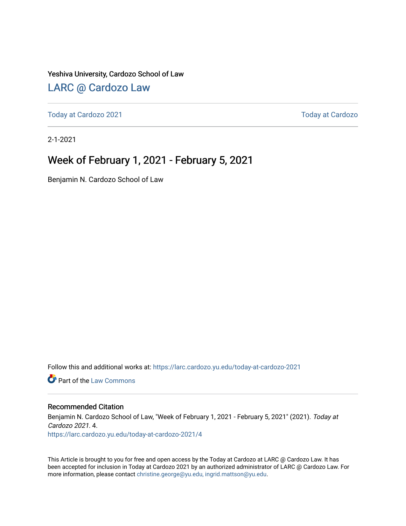#### Yeshiva University, Cardozo School of Law

### [LARC @ Cardozo Law](https://larc.cardozo.yu.edu/)

[Today at Cardozo 2021](https://larc.cardozo.yu.edu/today-at-cardozo-2021) **Today at Cardozo** 2021

2-1-2021

### Week of February 1, 2021 - February 5, 2021

Benjamin N. Cardozo School of Law

Follow this and additional works at: [https://larc.cardozo.yu.edu/today-at-cardozo-2021](https://larc.cardozo.yu.edu/today-at-cardozo-2021?utm_source=larc.cardozo.yu.edu%2Ftoday-at-cardozo-2021%2F4&utm_medium=PDF&utm_campaign=PDFCoverPages)

**C** Part of the [Law Commons](http://network.bepress.com/hgg/discipline/578?utm_source=larc.cardozo.yu.edu%2Ftoday-at-cardozo-2021%2F4&utm_medium=PDF&utm_campaign=PDFCoverPages)

#### Recommended Citation

Benjamin N. Cardozo School of Law, "Week of February 1, 2021 - February 5, 2021" (2021). Today at Cardozo 2021. 4. [https://larc.cardozo.yu.edu/today-at-cardozo-2021/4](https://larc.cardozo.yu.edu/today-at-cardozo-2021/4?utm_source=larc.cardozo.yu.edu%2Ftoday-at-cardozo-2021%2F4&utm_medium=PDF&utm_campaign=PDFCoverPages) 

This Article is brought to you for free and open access by the Today at Cardozo at LARC @ Cardozo Law. It has been accepted for inclusion in Today at Cardozo 2021 by an authorized administrator of LARC @ Cardozo Law. For more information, please contact [christine.george@yu.edu, ingrid.mattson@yu.edu](mailto:christine.george@yu.edu,%20ingrid.mattson@yu.edu).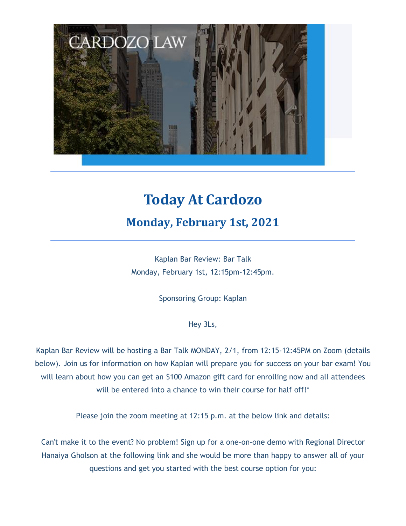

# **Today At Cardozo Monday, February 1st, 2021**

Kaplan Bar Review: Bar Talk Monday, February 1st, 12:15pm-12:45pm.

Sponsoring Group: Kaplan

Hey 3Ls,

Kaplan Bar Review will be hosting a Bar Talk MONDAY, 2/1, from 12:15-12:45PM on Zoom (details below). Join us for information on how Kaplan will prepare you for success on your bar exam! You will learn about how you can get an \$100 Amazon gift card for enrolling now and all attendees will be entered into a chance to win their course for half off!<sup>\*</sup>

Please join the zoom meeting at 12:15 p.m. at the below link and details:

Can't make it to the event? No problem! Sign up for a one-on-one demo with Regional Director Hanaiya Gholson at the following link and she would be more than happy to answer all of your questions and get you started with the best course option for you: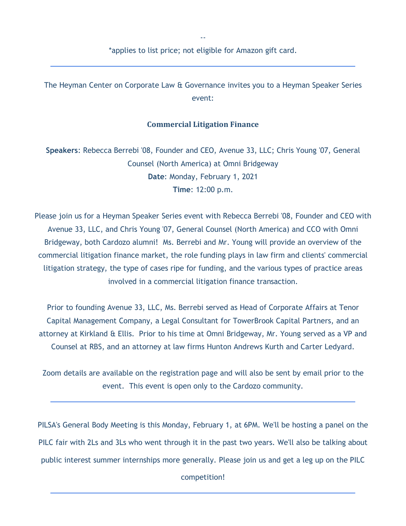-- \*applies to list price; not eligible for Amazon gift card.

The Heyman Center on Corporate Law & Governance invites you to a Heyman Speaker Series event:

### **Commercial Litigation Finance**

**Speakers**: Rebecca Berrebi '08, Founder and CEO, Avenue 33, LLC; Chris Young '07, General Counsel (North America) at Omni Bridgeway **Date**: Monday, February 1, 2021 **Time**: 12:00 p.m.

Please join us for a Heyman Speaker Series event with Rebecca Berrebi '08, Founder and CEO with Avenue 33, LLC, and Chris Young '07, General Counsel (North America) and CCO with Omni Bridgeway, both Cardozo alumni! Ms. Berrebi and Mr. Young will provide an overview of the commercial litigation finance market, the role funding plays in law firm and clients' commercial litigation strategy, the type of cases ripe for funding, and the various types of practice areas involved in a commercial litigation finance transaction.

Prior to founding Avenue 33, LLC, Ms. Berrebi served as Head of Corporate Affairs at Tenor Capital Management Company, a Legal Consultant for TowerBrook Capital Partners, and an attorney at Kirkland & Ellis. Prior to his time at Omni Bridgeway, Mr. Young served as a VP and Counsel at RBS, and an attorney at law firms Hunton Andrews Kurth and Carter Ledyard.

Zoom details are available on the registration page and will also be sent by email prior to the event. This event is open only to the Cardozo community.

PILSA's General Body Meeting is this Monday, February 1, at 6PM. We'll be hosting a panel on the PILC fair with 2Ls and 3Ls who went through it in the past two years. We'll also be talking about public interest summer internships more generally. Please join us and get a leg up on the PILC

competition!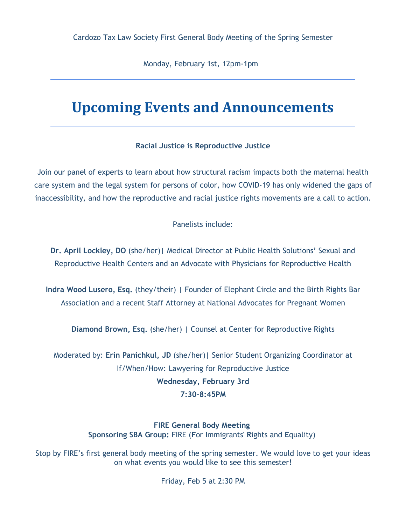Monday, February 1st, 12pm-1pm

## **Upcoming Events and Announcements**

### **Racial Justice is Reproductive Justice**

Join our panel of experts to learn about how structural racism impacts both the maternal health care system and the legal system for persons of color, how COVID-19 has only widened the gaps of inaccessibility, and how the reproductive and racial justice rights movements are a call to action.

Panelists include:

**Dr. April Lockley, DO** (she/her)| Medical Director at Public Health Solutions' Sexual and Reproductive Health Centers and an Advocate with Physicians for Reproductive Health

**Indra Wood Lusero, Esq.** (they/their) | Founder of Elephant Circle and the Birth Rights Bar Association and a recent Staff Attorney at National Advocates for Pregnant Women

**Diamond Brown, Esq.** (she/her) | Counsel at Center for Reproductive Rights

Moderated by: **Erin Panichkul, JD** (she/her)| Senior Student Organizing Coordinator at If/When/How: Lawyering for Reproductive Justice **Wednesday, February 3rd 7:30-8:45PM**

> **FIRE General Body Meeting Sponsoring SBA Group:** FIRE (**F**or **I**mmigrants' **R**ights and **E**quality)

Stop by FIRE's first general body meeting of the spring semester. We would love to get your ideas on what events you would like to see this semester!

Friday, Feb 5 at 2:30 PM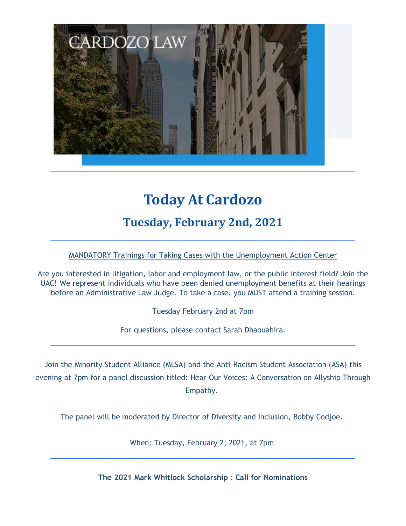

# **Today At Cardozo**

### **Tuesday, February 2nd, 2021**

### MANDATORY Trainings for Taking Cases with the Unemployment Action Center

Are you interested in litigation, labor and employment law, or the public interest field? Join the UAC! We represent individuals who have been denied unemployment benefits at their hearings before an Administrative Law Judge. To take a case, you MUST attend a training session.

Tuesday February 2nd at 7pm

For questions, please contact Sarah Dhaouahira.

Join the Minority Student Alliance (MLSA) and the Anti-Racism Student Association (ASA) this evening at 7pm for a panel discussion titled: Hear Our Voices: A Conversation on Allyship Through Empathy.

The panel will be moderated by Director of Diversity and Inclusion, Bobby Codjoe.

When: Tuesday, February 2, 2021, at 7pm

**The 2021 Mark Whitlock Scholarship : Call for Nominations**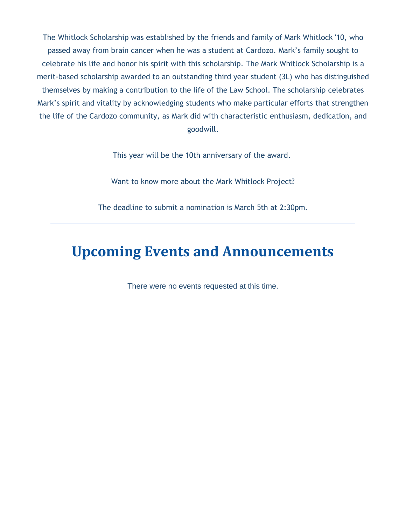The Whitlock Scholarship was established by the friends and family of Mark Whitlock '10, who passed away from brain cancer when he was a student at Cardozo. Mark's family sought to celebrate his life and honor his spirit with this scholarship. The Mark Whitlock Scholarship is a merit-based scholarship awarded to an outstanding third year student (3L) who has distinguished themselves by making a contribution to the life of the Law School. The scholarship celebrates Mark's spirit and vitality by acknowledging students who make particular efforts that strengthen the life of the Cardozo community, as Mark did with characteristic enthusiasm, dedication, and goodwill.

This year will be the 10th anniversary of the award.

Want to know more about the Mark Whitlock Project?

The deadline to submit a nomination is March 5th at 2:30pm.

## **Upcoming Events and Announcements**

There were no events requested at this time.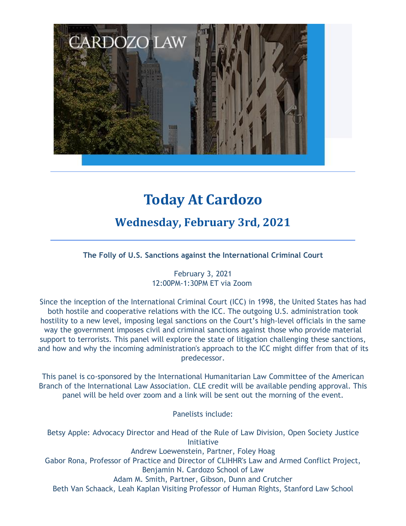

# **Today At Cardozo**

### **Wednesday, February 3rd, 2021**

**The Folly of U.S. Sanctions against the International Criminal Court**

February 3, 2021 12:00PM-1:30PM ET via Zoom

Since the inception of the International Criminal Court (ICC) in 1998, the United States has had both hostile and cooperative relations with the ICC. The outgoing U.S. administration took hostility to a new level, imposing legal sanctions on the Court's high-level officials in the same way the government imposes civil and criminal sanctions against those who provide material support to terrorists. This panel will explore the state of litigation challenging these sanctions, and how and why the incoming administration's approach to the ICC might differ from that of its predecessor.

This panel is co-sponsored by the International Humanitarian Law Committee of the American Branch of the International Law Association. CLE credit will be available pending approval. This panel will be held over zoom and a link will be sent out the morning of the event.

Panelists include:

Betsy Apple: Advocacy Director and Head of the Rule of Law Division, Open Society Justice Initiative Andrew Loewenstein, Partner, Foley Hoag Gabor Rona, Professor of Practice and Director of CLIHHR's Law and Armed Conflict Project, Benjamin N. Cardozo School of Law Adam M. Smith, Partner, Gibson, Dunn and Crutcher Beth Van Schaack, Leah Kaplan Visiting Professor of Human Rights, Stanford Law School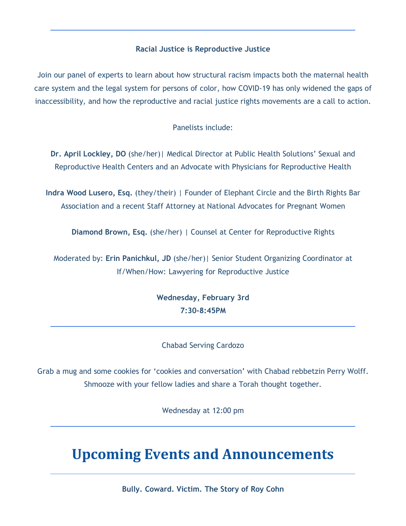### **Racial Justice is Reproductive Justice**

Join our panel of experts to learn about how structural racism impacts both the maternal health care system and the legal system for persons of color, how COVID-19 has only widened the gaps of inaccessibility, and how the reproductive and racial justice rights movements are a call to action.

Panelists include:

**Dr. April Lockley, DO** (she/her)| Medical Director at Public Health Solutions' Sexual and Reproductive Health Centers and an Advocate with Physicians for Reproductive Health

**Indra Wood Lusero, Esq.** (they/their) | Founder of Elephant Circle and the Birth Rights Bar Association and a recent Staff Attorney at National Advocates for Pregnant Women

**Diamond Brown, Esq.** (she/her) | Counsel at Center for Reproductive Rights

Moderated by: **Erin Panichkul, JD** (she/her)| Senior Student Organizing Coordinator at If/When/How: Lawyering for Reproductive Justice

> **Wednesday, February 3rd 7:30-8:45PM**

### Chabad Serving Cardozo

Grab a mug and some cookies for 'cookies and conversation' with Chabad rebbetzin Perry Wolff. Shmooze with your fellow ladies and share a Torah thought together.

Wednesday at 12:00 pm

## **Upcoming Events and Announcements**

**Bully. Coward. Victim. The Story of Roy Cohn**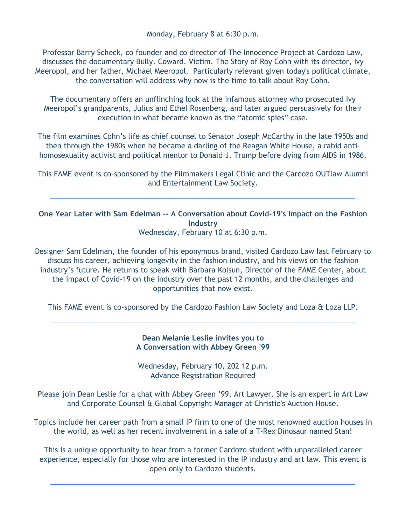Professor Barry Scheck, co founder and co director of The Innocence Project at Cardozo Law, discusses the documentary Bully. Coward. Victim. The Story of Roy Cohn with its director, Ivy Meeropol, and her father, Michael Meeropol. Particularly relevant given today's political climate, the conversation will address why now is the time to talk about Roy Cohn.

The documentary offers an unflinching look at the infamous attorney who prosecuted Ivy Meeropol's grandparents, Julius and Ethel Rosenberg, and later argued persuasively for their execution in what became known as the "atomic spies" case.

The film examines Cohn's life as chief counsel to Senator Joseph McCarthy in the late 1950s and then through the 1980s when he became a darling of the Reagan White House, a rabid antihomosexuality activist and political mentor to Donald J. Trump before dying from AIDS in 1986.

This FAME event is co-sponsored by the Filmmakers Legal Clinic and the Cardozo OUTlaw Alumni and Entertainment Law Society.

**One Year Later with Sam Edelman -- A Conversation about Covid-19's Impact on the Fashion Industry**

Wednesday, February 10 at 6:30 p.m.

Designer Sam Edelman, the founder of his eponymous brand, visited Cardozo Law last February to discuss his career, achieving longevity in the fashion industry, and his views on the fashion industry's future. He returns to speak with Barbara Kolsun, Director of the FAME Center, about the impact of Covid-19 on the industry over the past 12 months, and the challenges and opportunities that now exist.

This FAME event is co-sponsored by the Cardozo Fashion Law Society and Loza & Loza LLP.

#### **Dean Melanie Leslie invites you to A Conversation with Abbey Green '99**

Wednesday, February 10, 202 12 p.m. Advance Registration Required

Please join Dean Leslie for a chat with Abbey Green '99, Art Lawyer. She is an expert in Art Law and Corporate Counsel & Global Copyright Manager at Christie's Auction House.

Topics include her career path from a small IP firm to one of the most renowned auction houses in the world, as well as her recent involvement in a sale of a T-Rex Dinosaur named Stan!

This is a unique opportunity to hear from a former Cardozo student with unparalleled career experience, especially for those who are interested in the IP industry and art law. This event is open only to Cardozo students.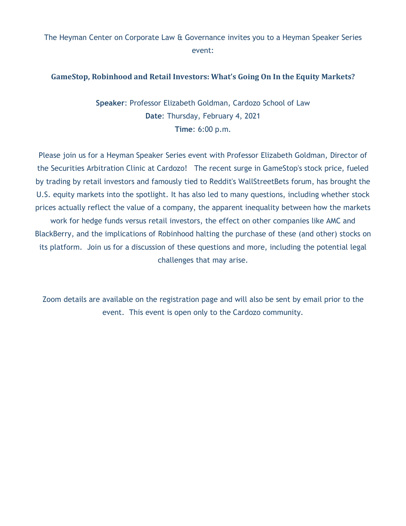### The Heyman Center on Corporate Law & Governance invites you to a Heyman Speaker Series event:

### **GameStop, Robinhood and Retail Investors: What's Going On In the Equity Markets?**

**Speaker**: Professor Elizabeth Goldman, Cardozo School of Law **Date**: Thursday, February 4, 2021 **Time**: 6:00 p.m.

Please join us for a Heyman Speaker Series event with Professor Elizabeth Goldman, Director of the Securities Arbitration Clinic at Cardozo! The recent surge in GameStop's stock price, fueled by trading by retail investors and famously tied to Reddit's WallStreetBets forum, has brought the U.S. equity markets into the spotlight. It has also led to many questions, including whether stock prices actually reflect the value of a company, the apparent inequality between how the markets work for hedge funds versus retail investors, the effect on other companies like AMC and BlackBerry, and the implications of Robinhood halting the purchase of these (and other) stocks on its platform. Join us for a discussion of these questions and more, including the potential legal challenges that may arise.

Zoom details are available on the registration page and will also be sent by email prior to the event. This event is open only to the Cardozo community.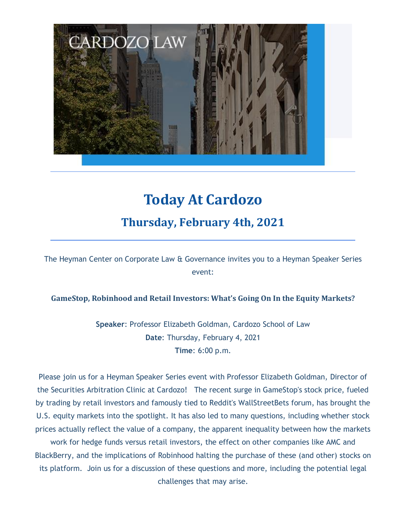

# **Today At Cardozo Thursday, February 4th, 2021**

The Heyman Center on Corporate Law & Governance invites you to a Heyman Speaker Series event:

### **GameStop, Robinhood and Retail Investors: What's Going On In the Equity Markets?**

**Speaker**: Professor Elizabeth Goldman, Cardozo School of Law **Date**: Thursday, February 4, 2021 **Time**: 6:00 p.m.

Please join us for a Heyman Speaker Series event with Professor Elizabeth Goldman, Director of the Securities Arbitration Clinic at Cardozo! The recent surge in GameStop's stock price, fueled by trading by retail investors and famously tied to Reddit's WallStreetBets forum, has brought the U.S. equity markets into the spotlight. It has also led to many questions, including whether stock prices actually reflect the value of a company, the apparent inequality between how the markets

work for hedge funds versus retail investors, the effect on other companies like AMC and BlackBerry, and the implications of Robinhood halting the purchase of these (and other) stocks on its platform. Join us for a discussion of these questions and more, including the potential legal challenges that may arise.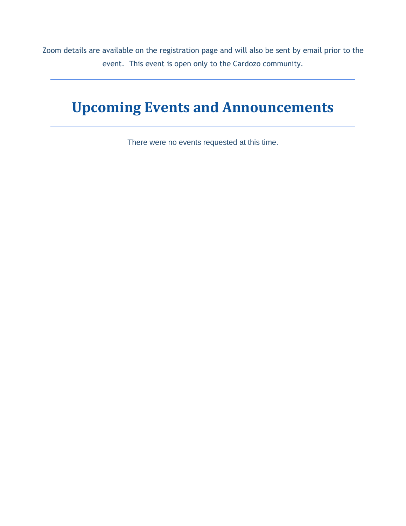Zoom details are available on the registration page and will also be sent by email prior to the event. This event is open only to the Cardozo community.

# **Upcoming Events and Announcements**

There were no events requested at this time.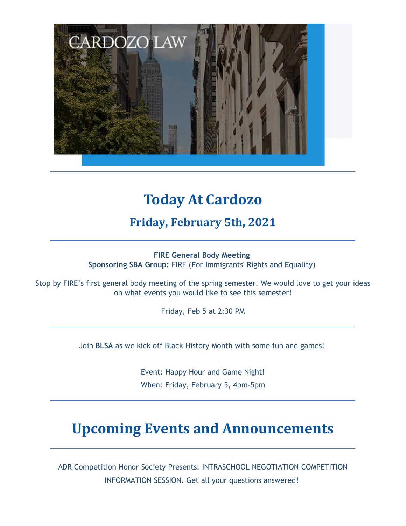

# **Today At Cardozo**

**Friday, February 5th, 2021**

**FIRE General Body Meeting Sponsoring SBA Group:** FIRE (**F**or **I**mmigrants' **R**ights and **E**quality)

Stop by FIRE's first general body meeting of the spring semester. We would love to get your ideas on what events you would like to see this semester!

Friday, Feb 5 at 2:30 PM

Join **BLSA** as we kick off Black History Month with some fun and games!

Event: Happy Hour and Game Night! When: Friday, February 5, 4pm-5pm

# **Upcoming Events and Announcements**

ADR Competition Honor Society Presents: INTRASCHOOL NEGOTIATION COMPETITION INFORMATION SESSION. Get all your questions answered!